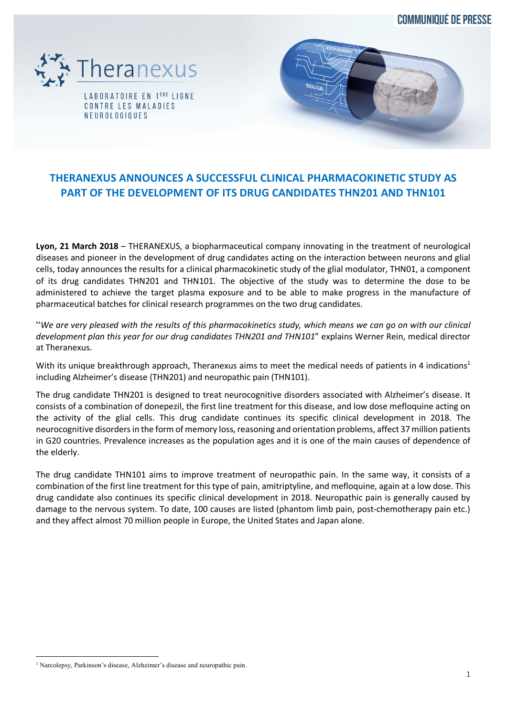**COMMUNIQUÉ DE PRESSE** 



LABORATOIRE EN 1<sup>ERE</sup> LIGNE CONTRE LES MALADIES NEUROLOGIQUES



# **THERANEXUS ANNOUNCES A SUCCESSFUL CLINICAL PHARMACOKINETIC STUDY AS PART OF THE DEVELOPMENT OF ITS DRUG CANDIDATES THN201 AND THN101**

**Lyon, 21 March 2018** – THERANEXUS, a biopharmaceutical company innovating in the treatment of neurological diseases and pioneer in the development of drug candidates acting on the interaction between neurons and glial cells, today announces the results for a clinical pharmacokinetic study of the glial modulator, THN01, a component of its drug candidates THN201 and THN101. The objective of the study was to determine the dose to be administered to achieve the target plasma exposure and to be able to make progress in the manufacture of pharmaceutical batches for clinical research programmes on the two drug candidates.

"*We are very pleased with the results of this pharmacokinetics study, which means we can go on with our clinical development plan this year for our drug candidates THN201 and THN101*" explains Werner Rein, medical director at Theranexus.

With its unique breakthrough approach, Theranexus aims to meet the medical needs of patients in 4 indications<sup>1</sup> including Alzheimer's disease (THN201) and neuropathic pain (THN101).

The drug candidate THN201 is designed to treat neurocognitive disorders associated with Alzheimer's disease. It consists of a combination of donepezil, the first line treatment for this disease, and low dose mefloquine acting on the activity of the glial cells. This drug candidate continues its specific clinical development in 2018. The neurocognitive disorders in the form of memory loss, reasoning and orientation problems, affect 37 million patients in G20 countries. Prevalence increases as the population ages and it is one of the main causes of dependence of the elderly.

The drug candidate THN101 aims to improve treatment of neuropathic pain. In the same way, it consists of a combination of the first line treatment for this type of pain, amitriptyline, and mefloquine, again at a low dose. This drug candidate also continues its specific clinical development in 2018. Neuropathic pain is generally caused by damage to the nervous system. To date, 100 causes are listed (phantom limb pain, post-chemotherapy pain etc.) and they affect almost 70 million people in Europe, the United States and Japan alone.

<sup>&</sup>lt;sup>1</sup> Narcolepsy, Parkinson's disease, Alzheimer's disease and neuropathic pain.